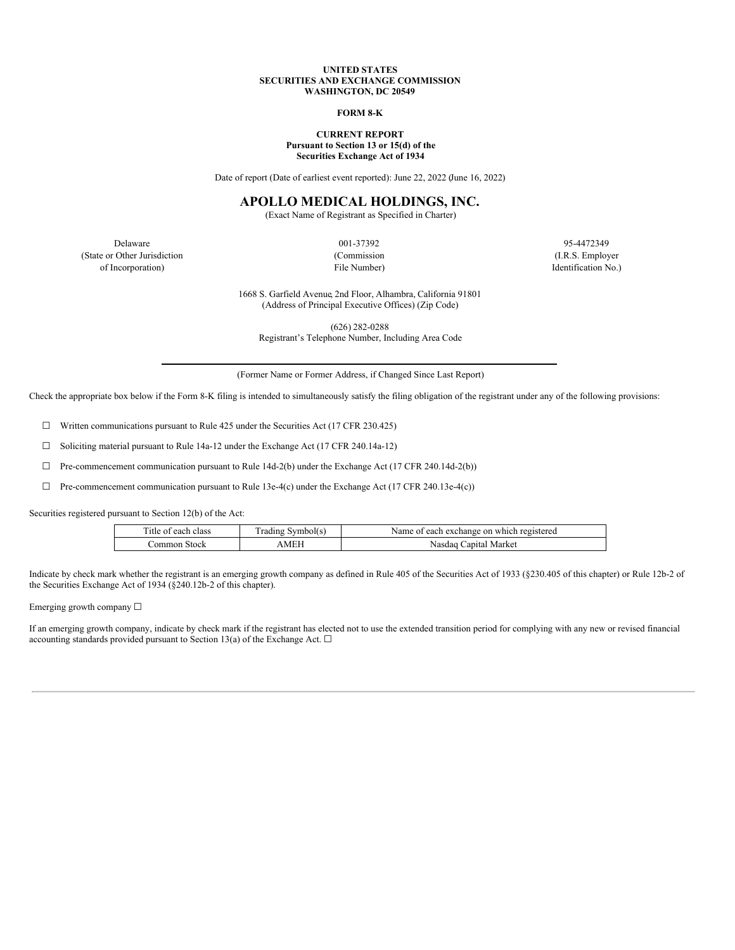#### **UNITED STATES SECURITIES AND EXCHANGE COMMISSION WASHINGTON, DC 20549**

### **FORM 8-K**

#### **CURRENT REPORT Pursuant to Section 13 or 15(d) of the Securities Exchange Act of 1934**

Date of report (Date of earliest event reported): June 22, 2022 (June 16, 2022)

# **APOLLO MEDICAL HOLDINGS, INC.**

(Exact Name of Registrant as Specified in Charter)

Delaware 95-4472349 95-4472349 (State or Other Jurisdiction (Commission (I.R.S. Employer of Incorporation) File Number) Identification No.)

1668 S. Garfield Avenue, 2nd Floor, Alhambra, California 91801 (Address of Principal Executive Offices) (Zip Code)

(626) 282-0288 Registrant's Telephone Number, Including Area Code

(Former Name or Former Address, if Changed Since Last Report)

Check the appropriate box below if the Form 8-K filing is intended to simultaneously satisfy the filing obligation of the registrant under any of the following provisions:

☐ Written communications pursuant to Rule 425 under the Securities Act (17 CFR 230.425)

 $\Box$  Soliciting material pursuant to Rule 14a-12 under the Exchange Act (17 CFR 240.14a-12)

☐ Pre-commencement communication pursuant to Rule 14d-2(b) under the Exchange Act (17 CFR 240.14d-2(b))

 $\Box$  Pre-commencement communication pursuant to Rule 13e-4(c) under the Exchange Act (17 CFR 240.13e-4(c))

Securities registered pursuant to Section 12(b) of the Act:

| Title of each class | Trading Symbol(s) | Name of each exchange on which registered |
|---------------------|-------------------|-------------------------------------------|
| Common Stock-       | AMEH              | Nasdaq Capital Market                     |

Indicate by check mark whether the registrant is an emerging growth company as defined in Rule 405 of the Securities Act of 1933 (§230.405 of this chapter) or Rule 12b-2 of the Securities Exchange Act of 1934 (§240.12b-2 of this chapter).

Emerging growth company ☐

If an emerging growth company, indicate by check mark if the registrant has elected not to use the extended transition period for complying with any new or revised financial accounting standards provided pursuant to Section 13(a) of the Exchange Act.  $\square$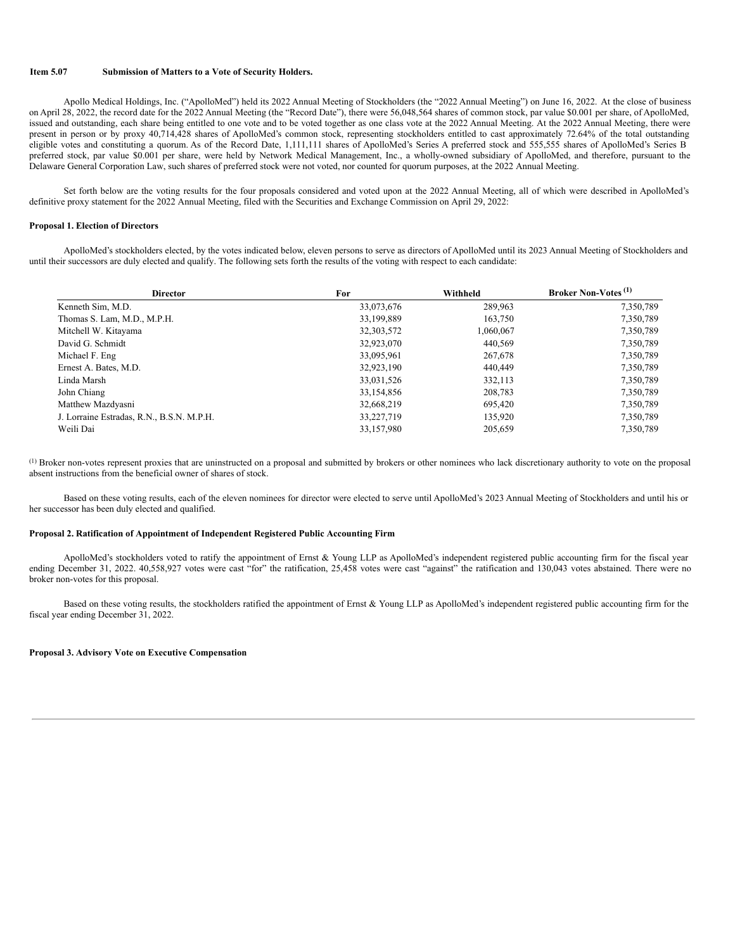### **Item 5.07 Submission of Matters to a Vote of Security Holders.**

Apollo Medical Holdings, Inc. ("ApolloMed") held its 2022 Annual Meeting of Stockholders (the "2022 Annual Meeting") on June 16, 2022. At the close of business on April 28, 2022, the record date for the 2022 Annual Meeting (the "Record Date"), there were 56,048,564 shares of common stock, par value \$0.001 per share, of ApolloMed, issued and outstanding, each share being entitled to one vote and to be voted together as one class vote at the 2022 Annual Meeting. At the 2022 Annual Meeting, there were present in person or by proxy 40,714,428 shares of ApolloMed's common stock, representing stockholders entitled to cast approximately 72.64% of the total outstanding eligible votes and constituting a quorum. As of the Record Date, 1,111,111 shares of ApolloMed's Series A preferred stock and 555,555 shares of ApolloMed's Series B preferred stock, par value \$0.001 per share, were held by Network Medical Management, Inc., a wholly-owned subsidiary of ApolloMed, and therefore, pursuant to the Delaware General Corporation Law, such shares of preferred stock were not voted, nor counted for quorum purposes, at the 2022 Annual Meeting.

Set forth below are the voting results for the four proposals considered and voted upon at the 2022 Annual Meeting, all of which were described in ApolloMed's definitive proxy statement for the 2022 Annual Meeting, filed with the Securities and Exchange Commission on April 29, 2022:

### **Proposal 1. Election of Directors**

ApolloMed's stockholders elected, by the votes indicated below, eleven persons to serve as directors of ApolloMed until its 2023 Annual Meeting of Stockholders and until their successors are duly elected and qualify. The following sets forth the results of the voting with respect to each candidate:

| <b>Director</b>                           | For        | Withheld  | <b>Broker Non-Votes</b> <sup>(1)</sup> |
|-------------------------------------------|------------|-----------|----------------------------------------|
| Kenneth Sim, M.D.                         | 33,073,676 | 289,963   | 7,350,789                              |
| Thomas S. Lam, M.D., M.P.H.               | 33,199,889 | 163,750   | 7,350,789                              |
| Mitchell W. Kitayama                      | 32,303,572 | 1,060,067 | 7,350,789                              |
| David G. Schmidt                          | 32,923,070 | 440,569   | 7,350,789                              |
| Michael F. Eng.                           | 33,095,961 | 267,678   | 7,350,789                              |
| Ernest A. Bates, M.D.                     | 32,923,190 | 440,449   | 7,350,789                              |
| Linda Marsh                               | 33,031,526 | 332,113   | 7,350,789                              |
| John Chiang                               | 33,154,856 | 208,783   | 7,350,789                              |
| Matthew Mazdyasni                         | 32,668,219 | 695,420   | 7,350,789                              |
| J. Lorraine Estradas, R.N., B.S.N. M.P.H. | 33,227,719 | 135,920   | 7,350,789                              |
| Weili Dai                                 | 33,157,980 | 205,659   | 7,350,789                              |

Broker non-votes represent proxies that are uninstructed on a proposal and submitted by brokers or other nominees who lack discretionary authority to vote on the proposal (1)absent instructions from the beneficial owner of shares of stock.

Based on these voting results, each of the eleven nominees for director were elected to serve until ApolloMed's 2023 Annual Meeting of Stockholders and until his or her successor has been duly elected and qualified.

## **Proposal 2. Ratification of Appointment of Independent Registered Public Accounting Firm**

ApolloMed's stockholders voted to ratify the appointment of Ernst & Young LLP as ApolloMed's independent registered public accounting firm for the fiscal year ending December 31, 2022. 40,558,927 votes were cast "for" the ratification, 25,458 votes were cast "against" the ratification and 130,043 votes abstained. There were no broker non-votes for this proposal.

Based on these voting results, the stockholders ratified the appointment of Ernst & Young LLP as ApolloMed's independent registered public accounting firm for the fiscal year ending December 31, 2022.

#### **Proposal 3. Advisory Vote on Executive Compensation**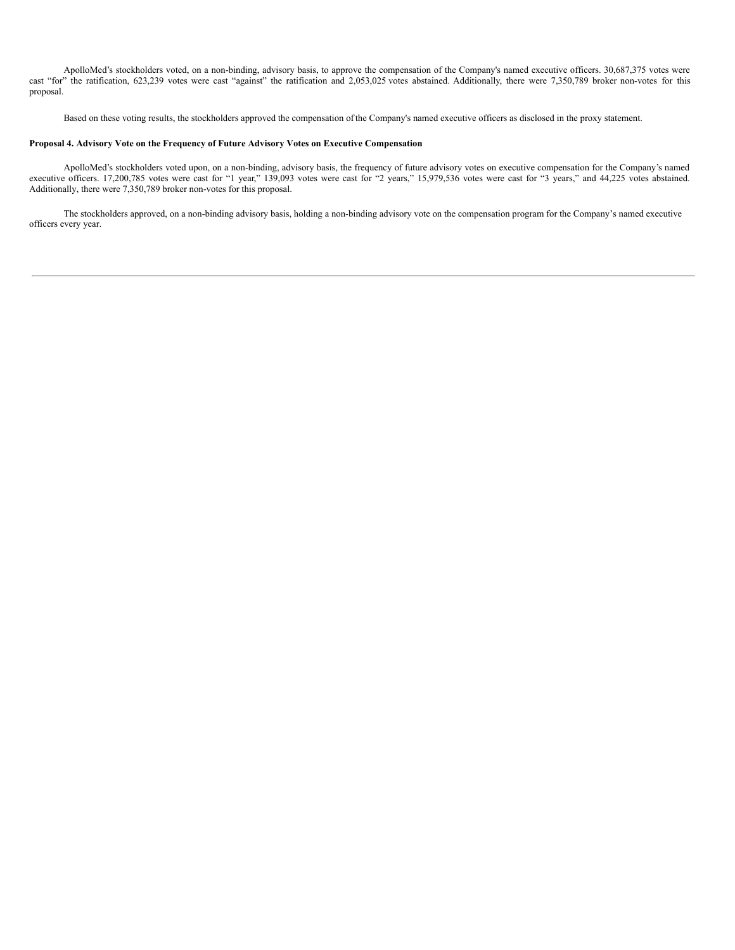ApolloMed's stockholders voted, on a non-binding, advisory basis, to approve the compensation of the Company's named executive officers. 30,687,375 votes were cast "for" the ratification, 623,239 votes were cast "against" the ratification and 2,053,025 votes abstained. Additionally, there were 7,350,789 broker non-votes for this proposal.

Based on these voting results, the stockholders approved the compensation ofthe Company's named executive officers as disclosed in the proxy statement.

### **Proposal 4. Advisory Vote on the Frequency of Future Advisory Votes on Executive Compensation**

ApolloMed's stockholders voted upon, on a non-binding, advisory basis, the frequency of future advisory votes on executive compensation for the Company's named executive officers. 17,200,785 votes were cast for "1 year," 139,093 votes were cast for "2 years," 15,979,536 votes were cast for "3 years," and 44,225 votes abstained. Additionally, there were 7,350,789 broker non-votes for this proposal.

The stockholders approved, on a non-binding advisory basis, holding a non-binding advisory vote on the compensation program for the Company's named executive officers every year.